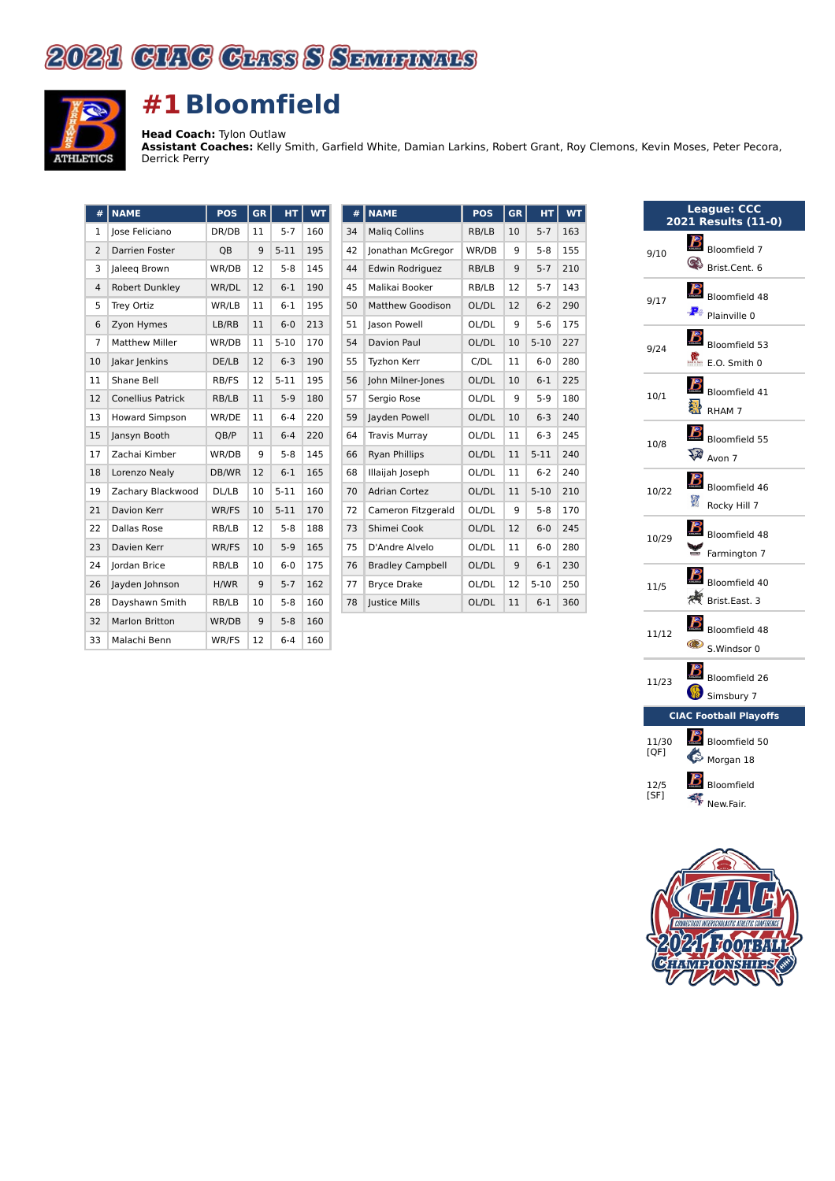



## **#1 Bloomfield**

**Head Coach:** Tylon Outlaw

**Assistant Coaches:** Kelly Smith, Garfield White, Damian Larkins, Robert Grant, Roy Clemons, Kevin Moses, Peter Pecora, Derrick Perry

| #              | <b>NAME</b>              | <b>POS</b> | <b>GR</b> | HT.      | <b>WT</b> |
|----------------|--------------------------|------------|-----------|----------|-----------|
| 1              | lose Feliciano           | DR/DB      | 11        | $5 - 7$  | 160       |
| 2              | Darrien Foster           | QB         | 9         | $5 - 11$ | 195       |
| 3              | Jaleeg Brown             | WR/DB      | 12        | $5 - 8$  | 145       |
| $\overline{4}$ | Robert Dunkley           | WR/DL      | 12        | $6-1$    | 190       |
| 5              | Trey Ortiz               | WR/LB      | 11        | $6 - 1$  | 195       |
| 6              | Zyon Hymes               | LB/RB      | 11        | $6 - 0$  | 213       |
| 7              | <b>Matthew Miller</b>    | WR/DB      | 11        | $5 - 10$ | 170       |
| 10             | Jakar Jenkins            | DE/LB      | 12        | $6 - 3$  | 190       |
| 11             | Shane Bell               | RB/FS      | 12        | $5 - 11$ | 195       |
| 12             | <b>Conellius Patrick</b> | RB/LB      | 11        | $5-9$    | 180       |
| 13             | <b>Howard Simpson</b>    | WR/DE      | 11        | $6 - 4$  | 220       |
| 15             | Jansyn Booth             | QB/P       | 11        | $6 - 4$  | 220       |
| 17             | Zachai Kimber            | WR/DB      | 9         | $5 - 8$  | 145       |
| 18             | Lorenzo Nealy            | DB/WR      | 12        | $6-1$    | 165       |
| 19             | Zachary Blackwood        | DL/LB      | 10        | $5 - 11$ | 160       |
| 21             | Davion Kerr              | WR/FS      | 10        | $5 - 11$ | 170       |
| 22             | Dallas Rose              | RB/LB      | 12        | $5 - 8$  | 188       |
| 23             | Davien Kerr              | WR/FS      | 10        | $5-9$    | 165       |
| 24             | Jordan Brice             | RB/LB      | 10        | $6-0$    | 175       |
| 26             | Jayden Johnson           | H/WR       | 9         | $5 - 7$  | 162       |
| 28             | Dayshawn Smith           | RB/LB      | 10        | $5 - 8$  | 160       |
| 32             | <b>Marlon Britton</b>    | WR/DB      | 9         | $5 - 8$  | 160       |
| 33             | Malachi Benn             | WR/FS      | 12        | $6 - 4$  | 160       |

| #  | <b>NAME</b>             | <b>POS</b> | <b>GR</b> | HТ       | <b>WT</b> |
|----|-------------------------|------------|-----------|----------|-----------|
| 34 | <b>Malig Collins</b>    | RB/LB      | 10        | $5 - 7$  | 163       |
| 42 | Jonathan McGregor       | WR/DB      | 9         | $5 - 8$  | 155       |
| 44 | Edwin Rodriguez         | RB/LB      | 9         | $5 - 7$  | 210       |
| 45 | Malikai Booker          | RB/LB      | 12        | $5 - 7$  | 143       |
| 50 | Matthew Goodison        | OL/DL      | 12        | $6 - 2$  | 290       |
| 51 | Jason Powell            | OL/DL      | 9         | $5-6$    | 175       |
| 54 | Davion Paul             | OL/DL      | 10        | $5 - 10$ | 227       |
| 55 | Tyzhon Kerr             | C/DL       | 11        | $6-0$    | 280       |
| 56 | John Milner-Jones       | OL/DL      | 10        | $6 - 1$  | 225       |
| 57 | Sergio Rose             | OL/DL      | 9         | $5-9$    | 180       |
| 59 | Jayden Powell           | OL/DL      | 10        | $6 - 3$  | 240       |
| 64 | <b>Travis Murray</b>    | OL/DL      | 11        | $6 - 3$  | 245       |
| 66 | <b>Ryan Phillips</b>    | OL/DL      | 11        | $5 - 11$ | 240       |
| 68 | Illaijah Joseph         | OL/DL      | 11        | $6 - 2$  | 240       |
| 70 | <b>Adrian Cortez</b>    | OL/DL      | 11        | $5 - 10$ | 210       |
| 72 | Cameron Fitzgerald      | OL/DL      | 9         | $5 - 8$  | 170       |
| 73 | Shimei Cook             | OL/DL      | 12        | $6-0$    | 245       |
| 75 | D'Andre Alvelo          | OL/DL      | 11        | $6-0$    | 280       |
| 76 | <b>Bradley Campbell</b> | OL/DL      | 9         | $6 - 1$  | 230       |
| 77 | <b>Bryce Drake</b>      | OL/DL      | 12        | $5 - 10$ | 250       |
| 78 | Justice Mills           | OL/DL      | 11        | $6 - 1$  | 360       |